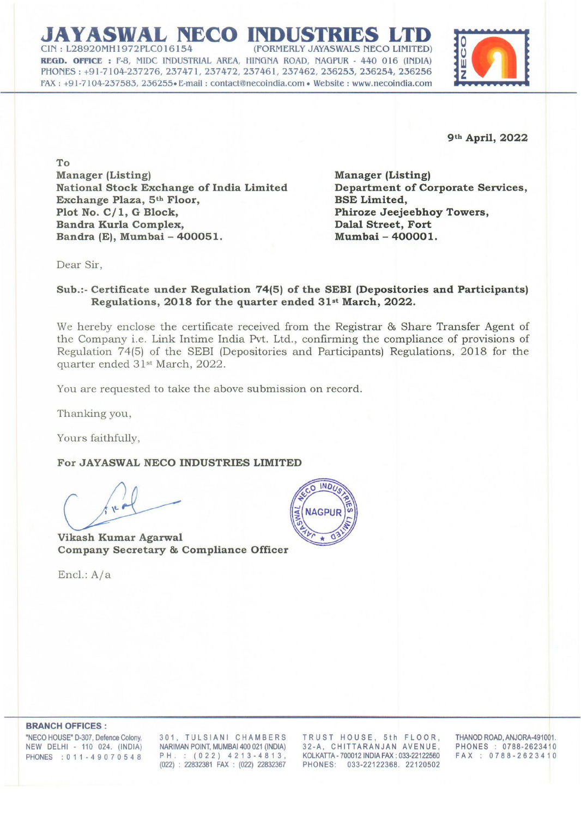## **JAYASWAL NECO IN** (FORMERLY JAYASWALS NECO LIMITED) REGD. OFFICE: F-8, MIDC INDUSTRIAL AREA, HINGNA ROAD, NAGPUR - 440 016 (INDIA) PHONES: +91-7104-237276, 237471, 237472, 237461, 237462, 236253, 236254,236256 FAX: +91-7104-237583, 236255. E-mail : contactenecolndla.com- Website: www.necoindia.com



**9th April, 2022** 

**To Manager (Listing) National Stock Exchange of India Limited Exchange Plaza, 5th Floor, Plot No. C/ 1, G Block, Bandra Kurla Complex, Bandra (E), Mumbai - 400051.** 

**Manager (Listing) Department of Corporate Services, BSE Limited, Phiroze Jeejeebhoy Towers, Dalal Street, Fort Mumbai - 400001.** 

Dear Sir,

## **Sub.:- Certificate under Regulation 74(5) of the SEBI (Depositories and Participants) Regulations, 2018 for the quarter ended 31st March, 2022.**

We hereby enclose the certificate received from the Registrar & Share Transfer Agent of the Company i.e. Link Intime India Pvt. Ltd., confirming the compliance of provisions of Regulation 74(5) of the SEBI (Depositories and Participants) Regulations, 2018 for the quarter ended 31st March, 2022.

You are requested to take the above submission on record.

Thanking you,

Yours faithfully,

**For JAYASWAL NECO INDUSTRIES LIMITED** 

**Vikash Kumar Agarwal Company Secretary & Compliance Officer** 

Encl.: A/a



**BRANCH OFFICES:** 

'NECO HOUSE' D-307, Defence Colony, NEW DELHI - 110 024. (INDIA) PHONES : 0 1 1 - 4 9 0 7 0 5 4 8

301, TULSIANI CHAMBERS NARIMAN POINT, MUMBAI 400 021 (INDIA) PH. : (022) 4213-4813, (022) : 22832381 FAX: (022) 22832367

TRUST HOUSE, 5th FLOOR, 32-A, CHITTARANJAN AVENUE, KOLKATIA- 700012 INDIA FAX: 033-22122560 PHONES: 033-22122368. 22120502

THANOD ROAD, ANJORA-491001. PHONES: 0788-2623410 FAX: 0788-2623410